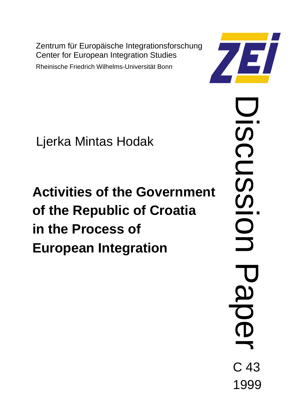Zentrum für Europäische Integrationsforschung Center for European Integration Studies

Rheinische Friedrich Wilhelms-Universität Bonn



Ljerka Mintas Hodak

# **Activities of the Government of the Republic of Croatia in the Process of European Integration**

Discussion Paper  $\mathcal{D}$ CUSSI  $\bigcirc$ C 43 1999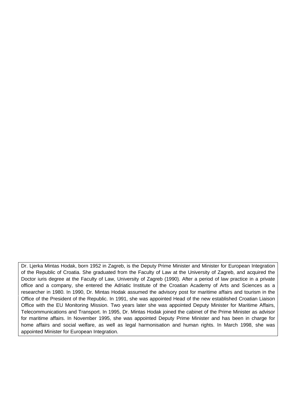Dr. Ljerka Mintas Hodak, born 1952 in Zagreb, is the Deputy Prime Minister and Minister for European Integration of the Republic of Croatia. She graduated from the Faculty of Law at the University of Zagreb, and acquired the Doctor iuris degree at the Faculty of Law, University of Zagreb (1990). After a period of law practice in a private office and a company, she entered the Adriatic Institute of the Croatian Academy of Arts and Sciences as a researcher in 1980. In 1990, Dr. Mintas Hodak assumed the advisory post for maritime affairs and tourism in the Office of the President of the Republic. In 1991, she was appointed Head of the new established Croatian Liaison Office with the EU Monitoring Mission. Two years later she was appointed Deputy Minister for Maritime Affairs, Telecommunications and Transport. In 1995, Dr. Mintas Hodak joined the cabinet of the Prime Minister as advisor for maritime affairs. In November 1995, she was appointed Deputy Prime Minister and has been in charge for home affairs and social welfare, as well as legal harmonisation and human rights. In March 1998, she was appointed Minister for European Integration.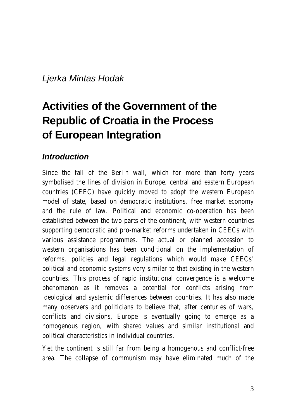#### *Ljerka Mintas Hodak*

# **Activities of the Government of the Republic of Croatia in the Process of European Integration**

#### *Introduction*

Since the fall of the Berlin wall, which for more than forty years symbolised the lines of division in Europe, central and eastern European countries (CEEC) have quickly moved to adopt the western European model of state, based on democratic institutions, free market economy and the rule of law. Political and economic co-operation has been established between the two parts of the continent, with western countries supporting democratic and pro-market reforms undertaken in CEECs with various assistance programmes. The actual or planned accession to western organisations has been conditional on the implementation of reforms, policies and legal regulations which would make CEECs' political and economic systems very similar to that existing in the western countries. This process of rapid institutional convergence is a welcome phenomenon as it removes a potential for conflicts arising from ideological and systemic differences between countries. It has also made many observers and politicians to believe that, after centuries of wars, conflicts and divisions, Europe is eventually going to emerge as a homogenous region, with shared values and similar institutional and political characteristics in individual countries.

Yet the continent is still far from being a homogenous and conflict-free area. The collapse of communism may have eliminated much of the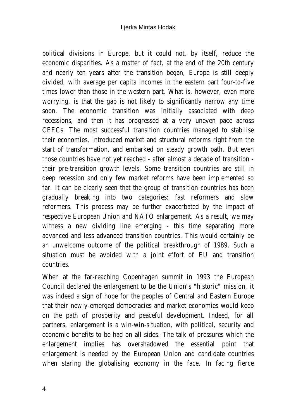political divisions in Europe, but it could not, by itself, reduce the economic disparities. As a matter of fact, at the end of the 20th century and nearly ten years after the transition began, Europe is still deeply divided, with average per capita incomes in the eastern part four-to-five times lower than those in the western part. What is, however, even more worrying, is that the gap is not likely to significantly narrow any time soon. The economic transition was initially associated with deep recessions, and then it has progressed at a very uneven pace across CEECs. The most successful transition countries managed to stabilise their economies, introduced market and structural reforms right from the start of transformation, and embarked on steady growth path. But even those countries have not yet reached - after almost a decade of transition their pre-transition growth levels. Some transition countries are still in deep recession and only few market reforms have been implemented so far. It can be clearly seen that the group of transition countries has been gradually breaking into two categories: fast reformers and slow reformers. This process may be further exacerbated by the impact of respective European Union and NATO enlargement. As a result, we may witness a new dividing line emerging - this time separating more advanced and less advanced transition countries. This would certainly be an unwelcome outcome of the political breakthrough of 1989. Such a situation must be avoided with a joint effort of EU and transition countries.

When at the far-reaching Copenhagen summit in 1993 the European Council declared the enlargement to be the Union's "historic" mission, it was indeed a sign of hope for the peoples of Central and Eastern Europe that their newly-emerged democracies and market economies would keep on the path of prosperity and peaceful development. Indeed, for all partners, enlargement is a win-win-situation, with political, security and economic benefits to be had on all sides. The talk of pressures which the enlargement implies has overshadowed the essential point that enlargement is needed by the European Union and candidate countries when staring the globalising economy in the face. In facing fierce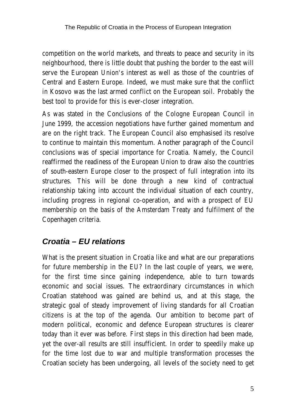competition on the world markets, and threats to peace and security in its neighbourhood, there is little doubt that pushing the border to the east will serve the European Union's interest as well as those of the countries of Central and Eastern Europe. Indeed, we must make sure that the conflict in Kosovo was the last armed conflict on the European soil. Probably the best tool to provide for this is ever-closer integration.

As was stated in the Conclusions of the Cologne European Council in June 1999, the accession negotiations have further gained momentum and are on the right track. The European Council also emphasised its resolve to continue to maintain this momentum. Another paragraph of the Council conclusions was of special importance for Croatia. Namely, the Council reaffirmed the readiness of the European Union to draw also the countries of south-eastern Europe closer to the prospect of full integration into its structures. This will be done through a new kind of contractual relationship taking into account the individual situation of each country, including progress in regional co-operation, and with a prospect of EU membership on the basis of the Amsterdam Treaty and fulfilment of the Copenhagen criteria.

#### *Croatia – EU relations*

What is the present situation in Croatia like and what are our preparations for future membership in the EU? In the last couple of years, we were, for the first time since gaining independence, able to turn towards economic and social issues. The extraordinary circumstances in which Croatian statehood was gained are behind us, and at this stage, the strategic goal of steady improvement of living standards for all Croatian citizens is at the top of the agenda. Our ambition to become part of modern political, economic and defence European structures is clearer today than it ever was before. First steps in this direction had been made, yet the over-all results are still insufficient. In order to speedily make up for the time lost due to war and multiple transformation processes the Croatian society has been undergoing, all levels of the society need to get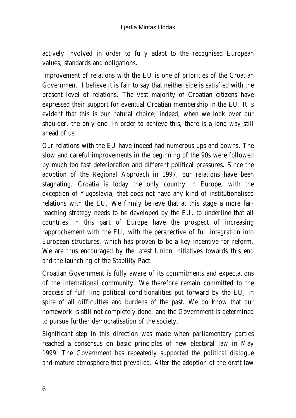actively involved in order to fully adapt to the recognised European values, standards and obligations.

Improvement of relations with the EU is one of priorities of the Croatian Government. I believe it is fair to say that neither side is satisfied with the present level of relations. The vast majority of Croatian citizens have expressed their support for eventual Croatian membership in the EU. It is evident that this is our natural choice, indeed, when we look over our shoulder, the only one. In order to achieve this, there is a long way still ahead of us.

Our relations with the EU have indeed had numerous ups and downs. The slow and careful improvements in the beginning of the 90s were followed by much too fast deterioration and different political pressures. Since the adoption of the Regional Approach in 1997, our relations have been stagnating. Croatia is today the only country in Europe, with the exception of Yugoslavia, that does not have any kind of institutionalised relations with the EU. We firmly believe that at this stage a more farreaching strategy needs to be developed by the EU, to underline that all countries in this part of Europe have the prospect of increasing rapprochement with the EU, with the perspective of full integration into European structures, which has proven to be a key incentive for reform. We are thus encouraged by the latest Union initiatives towards this end and the launching of the Stability Pact.

Croatian Government is fully aware of its commitments and expectations of the international community. We therefore remain committed to the process of fulfilling political conditionalities put forward by the EU, in spite of all difficulties and burdens of the past. We do know that our homework is still not completely done, and the Government is determined to pursue further democratisation of the society.

Significant step in this direction was made when parliamentary parties reached a consensus on basic principles of new electoral law in May 1999. The Government has repeatedly supported the political dialogue and mature atmosphere that prevailed. After the adoption of the draft law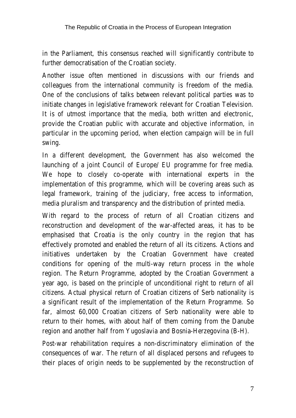in the Parliament, this consensus reached will significantly contribute to further democratisation of the Croatian society.

Another issue often mentioned in discussions with our friends and colleagues from the international community is freedom of the media. One of the conclusions of talks between relevant political parties was to initiate changes in legislative framework relevant for Croatian Television. It is of utmost importance that the media, both written and electronic, provide the Croatian public with accurate and objective information, in particular in the upcoming period, when election campaign will be in full swing.

In a different development, the Government has also welcomed the launching of a joint Council of Europe/ EU programme for free media. We hope to closely co-operate with international experts in the implementation of this programme, which will be covering areas such as legal framework, training of the judiciary, free access to information, media pluralism and transparency and the distribution of printed media.

With regard to the process of return of all Croatian citizens and reconstruction and development of the war-affected areas, it has to be emphasised that Croatia is the only country in the region that has effectively promoted and enabled the return of all its citizens. Actions and initiatives undertaken by the Croatian Government have created conditions for opening of the multi-way return process in the whole region. The Return Programme, adopted by the Croatian Government a year ago, is based on the principle of unconditional right to return of all citizens. Actual physical return of Croatian citizens of Serb nationality is a significant result of the implementation of the Return Programme. So far, almost 60,000 Croatian citizens of Serb nationality were able to return to their homes, with about half of them coming from the Danube region and another half from Yugoslavia and Bosnia-Herzegovina (B-H).

Post-war rehabilitation requires a non-discriminatory elimination of the consequences of war. The return of all displaced persons and refugees to their places of origin needs to be supplemented by the reconstruction of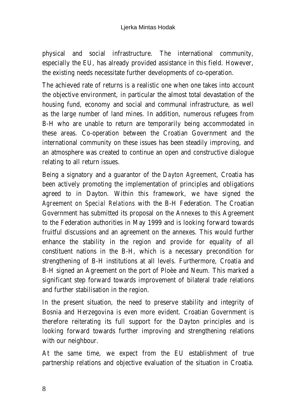physical and social infrastructure. The international community, especially the EU, has already provided assistance in this field. However, the existing needs necessitate further developments of co-operation.

The achieved rate of returns is a realistic one when one takes into account the objective environment, in particular the almost total devastation of the housing fund, economy and social and communal infrastructure, as well as the large number of land mines. In addition, numerous refugees from B-H who are unable to return are temporarily being accommodated in these areas. Co-operation between the Croatian Government and the international community on these issues has been steadily improving, and an atmosphere was created to continue an open and constructive dialogue relating to all return issues.

Being a signatory and a guarantor of the *Dayton Agreement*, Croatia has been actively promoting the implementation of principles and obligations agreed to in Dayton. Within this framework, we have signed the *Agreement on Special Relations* with the B-H Federation. The Croatian Government has submitted its proposal on the Annexes to this Agreement to the Federation authorities in May 1999 and is looking forward towards fruitful discussions and an agreement on the annexes. This would further enhance the stability in the region and provide for equality of all constituent nations in the B-H, which is a necessary precondition for strengthening of B-H institutions at all levels. Furthermore, Croatia and B-H signed an Agreement on the port of Ploèe and Neum. This marked a significant step forward towards improvement of bilateral trade relations and further stabilisation in the region.

In the present situation, the need to preserve stability and integrity of Bosnia and Herzegovina is even more evident. Croatian Government is therefore reiterating its full support for the Dayton principles and is looking forward towards further improving and strengthening relations with our neighbour.

At the same time, we expect from the EU establishment of true partnership relations and objective evaluation of the situation in Croatia.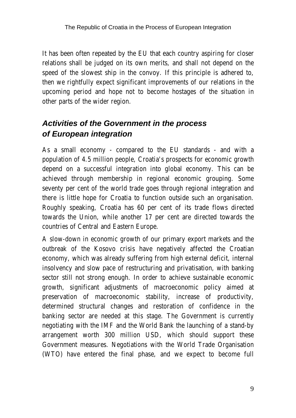It has been often repeated by the EU that each country aspiring for closer relations shall be judged on its own merits, and shall not depend on the speed of the slowest ship in the convoy. If this principle is adhered to, then we rightfully expect significant improvements of our relations in the upcoming period and hope not to become hostages of the situation in other parts of the wider region.

# *Activities of the Government in the process of European integration*

As a small economy - compared to the EU standards - and with a population of 4.5 million people, Croatia's prospects for economic growth depend on a successful integration into global economy. This can be achieved through membership in regional economic grouping. Some seventy per cent of the world trade goes through regional integration and there is little hope for Croatia to function outside such an organisation. Roughly speaking, Croatia has 60 per cent of its trade flows directed towards the Union, while another 17 per cent are directed towards the countries of Central and Eastern Europe.

A slow-down in economic growth of our primary export markets and the outbreak of the Kosovo crisis have negatively affected the Croatian economy, which was already suffering from high external deficit, internal insolvency and slow pace of restructuring and privatisation, with banking sector still not strong enough. In order to achieve sustainable economic growth, significant adjustments of macroeconomic policy aimed at preservation of macroeconomic stability, increase of productivity, determined structural changes and restoration of confidence in the banking sector are needed at this stage. The Government is currently negotiating with the IMF and the World Bank the launching of a stand-by arrangement worth 300 million USD, which should support these Government measures. Negotiations with the World Trade Organisation (WTO) have entered the final phase, and we expect to become full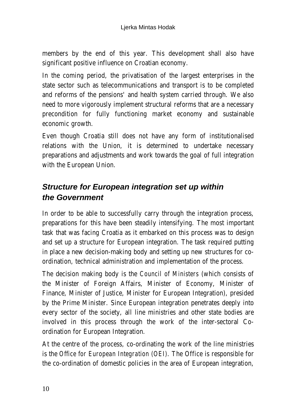members by the end of this year. This development shall also have significant positive influence on Croatian economy.

In the coming period, the privatisation of the largest enterprises in the state sector such as telecommunications and transport is to be completed and reforms of the pensions' and health system carried through. We also need to more vigorously implement structural reforms that are a necessary precondition for fully functioning market economy and sustainable economic growth.

Even though Croatia still does not have any form of institutionalised relations with the Union, it is determined to undertake necessary preparations and adjustments and work towards the goal of full integration with the European Union.

#### *Structure for European integration set up within the Government*

In order to be able to successfully carry through the integration process, preparations for this have been steadily intensifying. The most important task that was facing Croatia as it embarked on this process was to design and set up a structure for European integration. The task required putting in place a new decision-making body and setting up new structures for coordination, technical administration and implementation of the process.

The decision making body is the *Council of Ministers* (which consists of the Minister of Foreign Affairs, Minister of Economy, Minister of Finance, Minister of Justice, Minister for European Integration), presided by the Prime Minister. Since European integration penetrates deeply into every sector of the society, all line ministries and other state bodies are involved in this process through the work of the inter-sectoral Coordination for European Integration.

At the centre of the process, co-ordinating the work of the line ministries is the *Office for European Integration (OEI)*. The Office is responsible for the co-ordination of domestic policies in the area of European integration,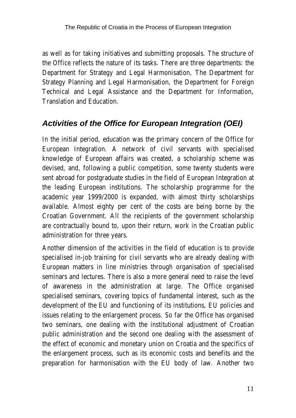as well as for taking initiatives and submitting proposals. The structure of the Office reflects the nature of its tasks. There are three departments: the Department for Strategy and Legal Harmonisation, The Department for Strategy Planning and Legal Harmonisation, the Department for Foreign Technical and Legal Assistance and the Department for Information, Translation and Education.

#### *Activities of the Office for European Integration (OEI)*

In the initial period, education was the primary concern of the Office for European Integration. A network of civil servants with specialised knowledge of European affairs was created, a scholarship scheme was devised, and, following a public competition, some twenty students were sent abroad for postgraduate studies in the field of European Integration at the leading European institutions. The scholarship programme for the academic year 1999/2000 is expanded, with almost thirty scholarships available. Almost eighty per cent of the costs are being borne by the Croatian Government. All the recipients of the government scholarship are contractually bound to, upon their return, work in the Croatian public administration for three years.

Another dimension of the activities in the field of education is to provide specialised in-job training for civil servants who are already dealing with European matters in line ministries through organisation of specialised seminars and lectures. There is also a more general need to raise the level of awareness in the administration at large. The Office organised specialised seminars, covering topics of fundamental interest, such as the development of the EU and functioning of its institutions, EU policies and issues relating to the enlargement process. So far the Office has organised two seminars, one dealing with the institutional adjustment of Croatian public administration and the second one dealing with the assessment of the effect of economic and monetary union on Croatia and the specifics of the enlargement process, such as its economic costs and benefits and the preparation for harmonisation with the EU body of law. Another two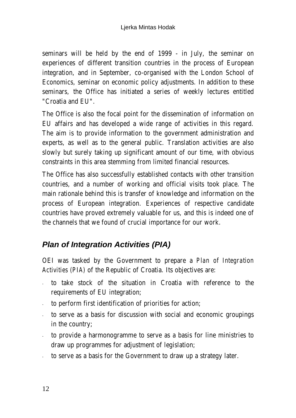seminars will be held by the end of 1999 - in July, the seminar on experiences of different transition countries in the process of European integration, and in September, co-organised with the London School of Economics, seminar on economic policy adjustments. In addition to these seminars, the Office has initiated a series of weekly lectures entitled "Croatia and EU".

The Office is also the focal point for the dissemination of information on EU affairs and has developed a wide range of activities in this regard. The aim is to provide information to the government administration and experts, as well as to the general public. Translation activities are also slowly but surely taking up significant amount of our time, with obvious constraints in this area stemming from limited financial resources.

The Office has also successfully established contacts with other transition countries, and a number of working and official visits took place. The main rationale behind this is transfer of knowledge and information on the process of European integration. Experiences of respective candidate countries have proved extremely valuable for us, and this is indeed one of the channels that we found of crucial importance for our work.

# *Plan of Integration Activities (PIA)*

OEI was tasked by the Government to prepare a *Plan of Integration Activities (PIA)* of the Republic of Croatia. Its objectives are:

- to take stock of the situation in Croatia with reference to the requirements of EU integration;
- to perform first identification of priorities for action;
- to serve as a basis for discussion with social and economic groupings in the country;
- to provide a harmonogramme to serve as a basis for line ministries to draw up programmes for adjustment of legislation;
- to serve as a basis for the Government to draw up a strategy later.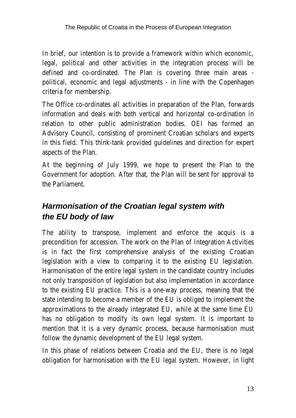In brief, our intention is to provide a framework within which economic, legal, political and other activities in the integration process will be defined and co-ordinated. The Plan is covering three main areas political, economic and legal adjustments - in line with the Copenhagen criteria for membership.

The Office co-ordinates all activities in preparation of the Plan, forwards information and deals with both vertical and horizontal co-ordination in relation to other public administration bodies. OEI has formed an Advisory Council, consisting of prominent Croatian scholars and experts in this field. This think-tank provided guidelines and direction for expert aspects of the Plan.

At the beginning of July 1999, we hope to present the Plan to the Government for adoption. After that, the Plan will be sent for approval to the Parliament.

# *Harmonisation of the Croatian legal system with the EU body of law*

The ability to transpose, implement and enforce the acquis is a precondition for accession. The work on the Plan of Integration Activities is in fact the first comprehensive analysis of the existing Croatian legislation with a view to comparing it to the existing EU legislation. Harmonisation of the entire legal system in the candidate country includes not only transposition of legislation but also implementation in accordance to the existing EU practice. This is a one-way process, meaning that the state intending to become a member of the EU is obliged to implement the approximations to the already integrated EU, while at the same time EU has no obligation to modify its own legal system. It is important to mention that it is a very dynamic process, because harmonisation must follow the dynamic development of the EU legal system.

In this phase of relations between Croatia and the EU, there is no legal obligation for harmonisation with the EU legal system. However, in light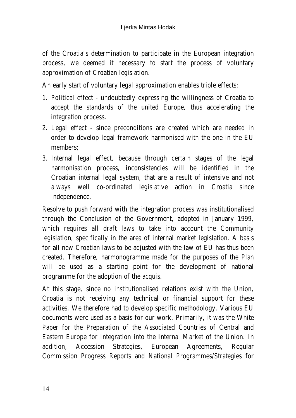of the Croatia's determination to participate in the European integration process, we deemed it necessary to start the process of voluntary approximation of Croatian legislation.

An early start of voluntary legal approximation enables triple effects:

- 1. Political effect undoubtedly expressing the willingness of Croatia to accept the standards of the united Europe, thus accelerating the integration process.
- 2. Legal effect since preconditions are created which are needed in order to develop legal framework harmonised with the one in the EU members;
- 3. Internal legal effect, because through certain stages of the legal harmonisation process, inconsistencies will be identified in the Croatian internal legal system, that are a result of intensive and not always well co-ordinated legislative action in Croatia since independence.

Resolve to push forward with the integration process was institutionalised through the Conclusion of the Government, adopted in January 1999, which requires all draft laws to take into account the Community legislation, specifically in the area of internal market legislation. A basis for all new Croatian laws to be adjusted with the law of EU has thus been created. Therefore, harmonogramme made for the purposes of the Plan will be used as a starting point for the development of national programme for the adoption of the acquis.

At this stage, since no institutionalised relations exist with the Union, Croatia is not receiving any technical or financial support for these activities. We therefore had to develop specific methodology. Various EU documents were used as a basis for our work. Primarily, it was the White Paper for the Preparation of the Associated Countries of Central and Eastern Europe for Integration into the Internal Market of the Union. In addition, Accession Strategies, European Agreements, Regular Commission Progress Reports and National Programmes/Strategies for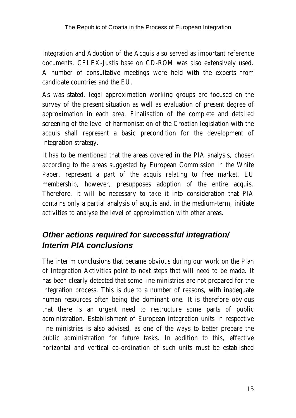Integration and Adoption of the Acquis also served as important reference documents. CELEX-Justis base on CD-ROM was also extensively used. A number of consultative meetings were held with the experts from candidate countries and the EU.

As was stated, legal approximation working groups are focused on the survey of the present situation as well as evaluation of present degree of approximation in each area. Finalisation of the complete and detailed screening of the level of harmonisation of the Croatian legislation with the acquis shall represent a basic precondition for the development of integration strategy.

It has to be mentioned that the areas covered in the PIA analysis, chosen according to the areas suggested by European Commission in the White Paper, represent a part of the acquis relating to free market. EU membership, however, presupposes adoption of the entire acquis. Therefore, it will be necessary to take it into consideration that PIA contains only a partial analysis of acquis and, in the medium-term, initiate activities to analyse the level of approximation with other areas.

# *Other actions required for successful integration/ Interim PIA conclusions*

The interim conclusions that became obvious during our work on the Plan of Integration Activities point to next steps that will need to be made. It has been clearly detected that some line ministries are not prepared for the integration process. This is due to a number of reasons, with inadequate human resources often being the dominant one. It is therefore obvious that there is an urgent need to restructure some parts of public administration. Establishment of European integration units in respective line ministries is also advised, as one of the ways to better prepare the public administration for future tasks. In addition to this, effective horizontal and vertical co-ordination of such units must be established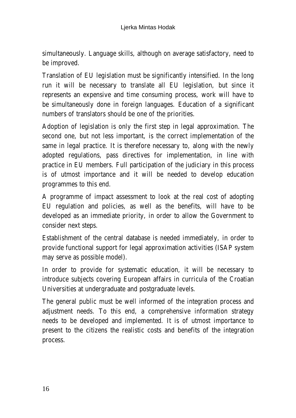simultaneously. Language skills, although on average satisfactory, need to be improved.

Translation of EU legislation must be significantly intensified. In the long run it will be necessary to translate all EU legislation, but since it represents an expensive and time consuming process, work will have to be simultaneously done in foreign languages. Education of a significant numbers of translators should be one of the priorities.

Adoption of legislation is only the first step in legal approximation. The second one, but not less important, is the correct implementation of the same in legal practice. It is therefore necessary to, along with the newly adopted regulations, pass directives for implementation, in line with practice in EU members. Full participation of the judiciary in this process is of utmost importance and it will be needed to develop education programmes to this end.

A programme of impact assessment to look at the real cost of adopting EU regulation and policies, as well as the benefits, will have to be developed as an immediate priority, in order to allow the Government to consider next steps.

Establishment of the central database is needed immediately, in order to provide functional support for legal approximation activities (ISAP system may serve as possible model).

In order to provide for systematic education, it will be necessary to introduce subjects covering European affairs in curricula of the Croatian Universities at undergraduate and postgraduate levels.

The general public must be well informed of the integration process and adjustment needs. To this end, a comprehensive information strategy needs to be developed and implemented. It is of utmost importance to present to the citizens the realistic costs and benefits of the integration process.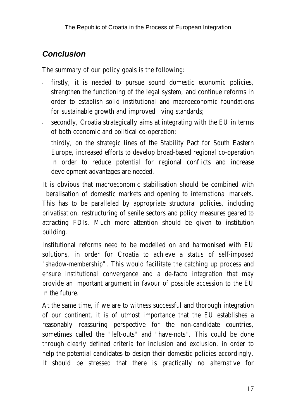# *Conclusion*

The summary of our policy goals is the following:

- firstly, it is needed to pursue sound domestic economic policies, strengthen the functioning of the legal system, and continue reforms in order to establish solid institutional and macroeconomic foundations for sustainable growth and improved living standards;
- secondly, Croatia strategically aims at integrating with the EU in terms of both economic and political co-operation;
- thirdly, on the strategic lines of the Stability Pact for South Eastern Europe, increased efforts to develop broad-based regional co-operation in order to reduce potential for regional conflicts and increase development advantages are needed.

It is obvious that macroeconomic stabilisation should be combined with liberalisation of domestic markets and opening to international markets. This has to be paralleled by appropriate structural policies, including privatisation, restructuring of senile sectors and policy measures geared to attracting FDIs. Much more attention should be given to institution building.

Institutional reforms need to be modelled on and harmonised with EU solutions, in order for Croatia to achieve a *status of self-imposed "shadow-membership"*. This would facilitate the catching up process and ensure institutional convergence and a de-facto integration that may provide an important argument in favour of possible accession to the EU in the future.

At the same time, if we are to witness successful and thorough integration of our continent, it is of utmost importance that the EU establishes a reasonably reassuring perspective for the non-candidate countries, sometimes called the "left-outs" and "have-nots". This could be done through clearly defined criteria for inclusion and exclusion, in order to help the potential candidates to design their domestic policies accordingly. It should be stressed that there is practically no alternative for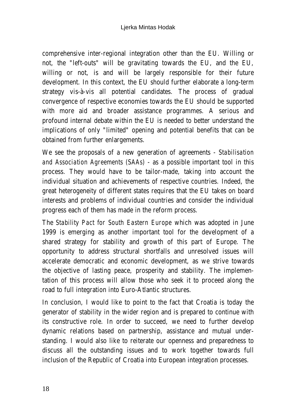comprehensive inter-regional integration other than the EU. Willing or not, the "left-outs" will be gravitating towards the EU, and the EU, willing or not, is and will be largely responsible for their future development. In this context, the EU should further elaborate a long-term strategy vis-à-vis all potential candidates. The process of gradual convergence of respective economies towards the EU should be supported with more aid and broader assistance programmes. A serious and profound internal debate within the EU is needed to better understand the implications of only "limited" opening and potential benefits that can be obtained from further enlargements.

We see the proposals of a new generation of agreements - *Stabilisation and Association Agreements (SAAs)* - as a possible important tool in this process. They would have to be tailor-made, taking into account the individual situation and achievements of respective countries. Indeed, the great heterogeneity of different states requires that the EU takes on board interests and problems of individual countries and consider the individual progress each of them has made in the reform process.

The *Stability Pact for South Eastern Europe* which was adopted in June 1999 is emerging as another important tool for the development of a shared strategy for stability and growth of this part of Europe. The opportunity to address structural shortfalls and unresolved issues will accelerate democratic and economic development, as we strive towards the objective of lasting peace, prosperity and stability. The implementation of this process will allow those who seek it to proceed along the road to full integration into Euro-Atlantic structures.

In conclusion, I would like to point to the fact that Croatia is today the generator of stability in the wider region and is prepared to continue with its constructive role. In order to succeed, we need to further develop dynamic relations based on partnership, assistance and mutual understanding. I would also like to reiterate our openness and preparedness to discuss all the outstanding issues and to work together towards full inclusion of the Republic of Croatia into European integration processes.